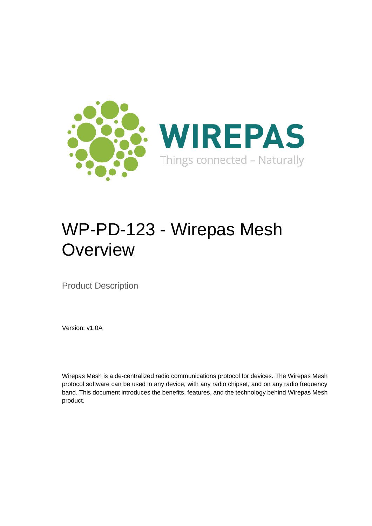

# WP-PD-123 - Wirepas Mesh **Overview**

Product Description

Version: v1.0A

Wirepas Mesh is a de-centralized radio communications protocol for devices. The Wirepas Mesh protocol software can be used in any device, with any radio chipset, and on any radio frequency band. This document introduces the benefits, features, and the technology behind Wirepas Mesh product.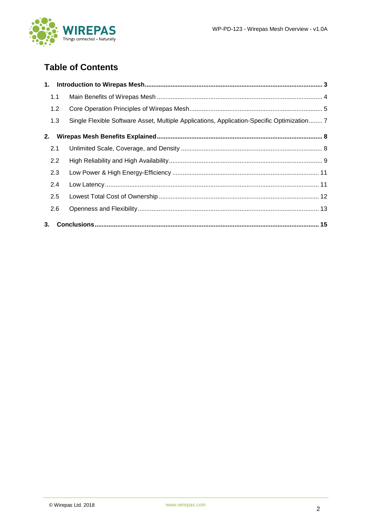

# **Table of Contents**

| 1. |     |                                                                                            |  |
|----|-----|--------------------------------------------------------------------------------------------|--|
|    | 1.1 |                                                                                            |  |
|    | 1.2 |                                                                                            |  |
|    | 1.3 | Single Flexible Software Asset, Multiple Applications, Application-Specific Optimization 7 |  |
| 2. |     |                                                                                            |  |
|    | 2.1 |                                                                                            |  |
|    | 2.2 |                                                                                            |  |
|    | 2.3 |                                                                                            |  |
|    | 2.4 |                                                                                            |  |
|    | 2.5 |                                                                                            |  |
|    | 2.6 |                                                                                            |  |
| 3. |     |                                                                                            |  |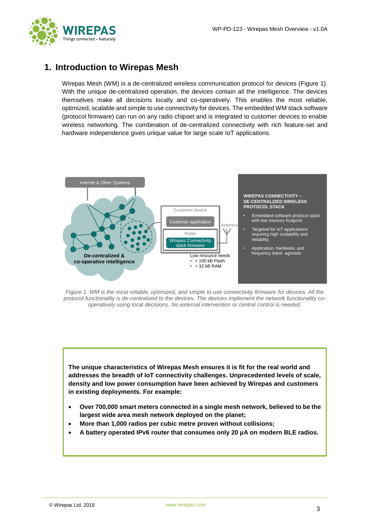

# <span id="page-2-0"></span>**1. Introduction to Wirepas Mesh**

Wirepas Mesh (WM) is a de-centralized wireless communication protocol for devices [\(Figure 1\)](#page-2-1). With the unique de-centralized operation, the devices contain all the intelligence. The devices themselves make all decisions locally and co-operatively. This enables the most reliable, optimized, scalable and simple to use connectivity for devices. The embedded WM stack software (protocol firmware) can run on any radio chipset and is integrated to customer devices to enable wireless networking. The combination of de-centralized connectivity with rich feature-set and hardware independence gives unique value for large scale IoT applications.



<span id="page-2-1"></span>*Figure 1. WM is the most reliable, optimized, and simple to use connectivity firmware for devices. All the protocol functionality is de-centralized to the devices. The devices implement the network functionality cooperatively using local decisions. No external intervention or central control is needed.*

**The unique characteristics of Wirepas Mesh ensures it is fit for the real world and addresses the breadth of IoT connectivity challenges. Unprecedented levels of scale, density and low power consumption have been achieved by Wirepas and customers in existing deployments. For example:**

- **Over 700,000 smart meters connected in a single mesh network, believed to be the largest wide area mesh network deployed on the planet;**
- **More than 1,000 radios per cubic metre proven without collisions;**
- **A battery operated IPv6 router that consumes only 20 µA on modern BLE radios.**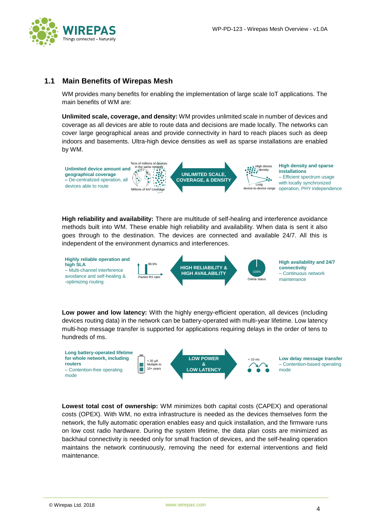

#### <span id="page-3-0"></span>**1.1 Main Benefits of Wirepas Mesh**

WM provides many benefits for enabling the implementation of large scale IoT applications. The main benefits of WM are:

**Unlimited scale, coverage, and density:** WM provides unlimited scale in number of devices and coverage as all devices are able to route data and decisions are made locally. The networks can cover large geographical areas and provide connectivity in hard to reach places such as deep indoors and basements. Ultra-high device densities as well as sparse installations are enabled by WM.



**High reliability and availability:** There are multitude of self-healing and interference avoidance methods built into WM. These enable high reliability and availability. When data is sent it also goes through to the destination. The devices are connected and available 24/7. All this is independent of the environment dynamics and interferences.



**Low power and low latency:** With the highly energy-efficient operation, all devices (including devices routing data) in the network can be battery-operated with multi-year lifetime. Low latency multi-hop message transfer is supported for applications requiring delays in the order of tens to hundreds of ms.



**Lowest total cost of ownership:** WM minimizes both capital costs (CAPEX) and operational costs (OPEX). With WM, no extra infrastructure is needed as the devices themselves form the network, the fully automatic operation enables easy and quick installation, and the firmware runs on low cost radio hardware. During the system lifetime, the data plan costs are minimized as backhaul connectivity is needed only for small fraction of devices, and the self-healing operation maintains the network continuously, removing the need for external interventions and field maintenance.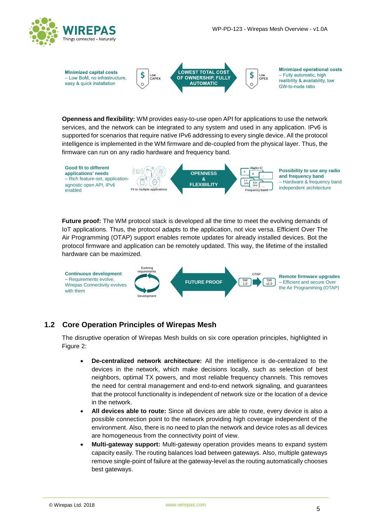



**Openness and flexibility:** WM provides easy-to-use open API for applications to use the network services, and the network can be integrated to any system and used in any application. IPv6 is supported for scenarios that require native IPv6 addressing to every single device. All the protocol intelligence is implemented in the WM firmware and de-coupled from the physical layer. Thus, the firmware can run on any radio hardware and frequency band.



**Future proof:** The WM protocol stack is developed all the time to meet the evolving demands of IoT applications. Thus, the protocol adapts to the application, not vice versa. Efficient Over The Air Programming (OTAP) support enables remote updates for already installed devices. Bot the protocol firmware and application can be remotely updated. This way, the lifetime of the installed hardware can be maximized.



#### <span id="page-4-0"></span>**1.2 Core Operation Principles of Wirepas Mesh**

The disruptive operation of Wirepas Mesh builds on six core operation principles, highlighted in [Figure 2:](#page-5-0)

- **De-centralized network architecture:** All the intelligence is de-centralized to the devices in the network, which make decisions locally, such as selection of best neighbors, optimal TX powers, and most reliable frequency channels. This removes the need for central management and end-to-end network signaling, and guarantees that the protocol functionality is independent of network size or the location of a device in the network.
- **All devices able to route:** Since all devices are able to route, every device is also a possible connection point to the network providing high coverage independent of the environment. Also, there is no need to plan the network and device roles as all devices are homogeneous from the connectivity point of view.
- **Multi-gateway support:** Multi-gateway operation provides means to expand system capacity easily. The routing balances load between gateways. Also, multiple gateways remove single-point of failure at the gateway-level as the routing automatically chooses best gateways.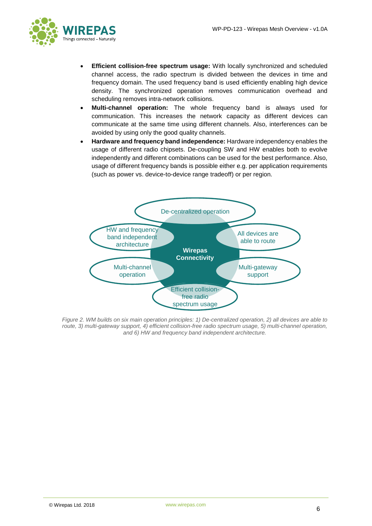

- **Efficient collision-free spectrum usage:** With locally synchronized and scheduled channel access, the radio spectrum is divided between the devices in time and frequency domain. The used frequency band is used efficiently enabling high device density. The synchronized operation removes communication overhead and scheduling removes intra-network collisions.
- **Multi-channel operation:** The whole frequency band is always used for communication. This increases the network capacity as different devices can communicate at the same time using different channels. Also, interferences can be avoided by using only the good quality channels.
- **Hardware and frequency band independence:** Hardware independency enables the usage of different radio chipsets. De-coupling SW and HW enables both to evolve independently and different combinations can be used for the best performance. Also, usage of different frequency bands is possible either e.g. per application requirements (such as power vs. device-to-device range tradeoff) or per region.



<span id="page-5-0"></span>*Figure 2. WM builds on six main operation principles: 1) De-centralized operation, 2) all devices are able to route, 3) multi-gateway support, 4) efficient collision-free radio spectrum usage, 5) multi-channel operation, and 6) HW and frequency band independent architecture.*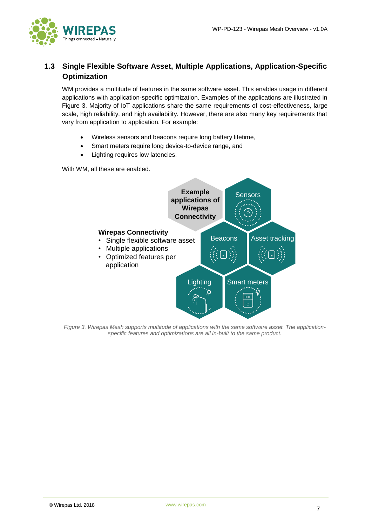

## <span id="page-6-0"></span>**1.3 Single Flexible Software Asset, Multiple Applications, Application-Specific Optimization**

WM provides a multitude of features in the same software asset. This enables usage in different applications with application-specific optimization. Examples of the applications are illustrated in [Figure 3.](#page-6-1) Majority of IoT applications share the same requirements of cost-effectiveness, large scale, high reliability, and high availability. However, there are also many key requirements that vary from application to application. For example:

- Wireless sensors and beacons require long battery lifetime,
- Smart meters require long device-to-device range, and
- Lighting requires low latencies.

With WM, all these are enabled.



<span id="page-6-1"></span>*Figure 3. Wirepas Mesh supports multitude of applications with the same software asset. The applicationspecific features and optimizations are all in-built to the same product.*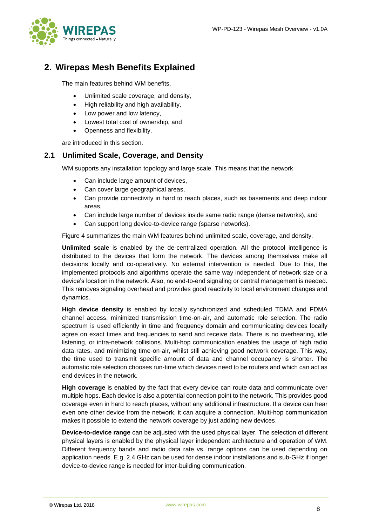

# <span id="page-7-0"></span>**2. Wirepas Mesh Benefits Explained**

The main features behind WM benefits,

- Unlimited scale coverage, and density,
- High reliability and high availability,
- Low power and low latency,
- Lowest total cost of ownership, and
- Openness and flexibility,

are introduced in this section.

#### <span id="page-7-1"></span>**2.1 Unlimited Scale, Coverage, and Density**

WM supports any installation topology and large scale. This means that the network

- Can include large amount of devices,
- Can cover large geographical areas,
- Can provide connectivity in hard to reach places, such as basements and deep indoor areas,
- Can include large number of devices inside same radio range (dense networks), and
- Can support long device-to-device range (sparse networks).

[Figure 4](#page-8-1) summarizes the main WM features behind unlimited scale, coverage, and density.

**Unlimited scale** is enabled by the de-centralized operation. All the protocol intelligence is distributed to the devices that form the network. The devices among themselves make all decisions locally and co-operatively. No external intervention is needed. Due to this, the implemented protocols and algorithms operate the same way independent of network size or a device's location in the network. Also, no end-to-end signaling or central management is needed. This removes signaling overhead and provides good reactivity to local environment changes and dynamics.

**High device density** is enabled by locally synchronized and scheduled TDMA and FDMA channel access, minimized transmission time-on-air, and automatic role selection. The radio spectrum is used efficiently in time and frequency domain and communicating devices locally agree on exact times and frequencies to send and receive data. There is no overhearing, idle listening, or intra-network collisions. Multi-hop communication enables the usage of high radio data rates, and minimizing time-on-air, whilst still achieving good network coverage. This way, the time used to transmit specific amount of data and channel occupancy is shorter. The automatic role selection chooses run-time which devices need to be routers and which can act as end devices in the network.

**High coverage** is enabled by the fact that every device can route data and communicate over multiple hops. Each device is also a potential connection point to the network. This provides good coverage even in hard to reach places, without any additional infrastructure. If a device can hear even one other device from the network, it can acquire a connection. Multi-hop communication makes it possible to extend the network coverage by just adding new devices.

**Device-to-device range** can be adjusted with the used physical layer. The selection of different physical layers is enabled by the physical layer independent architecture and operation of WM. Different frequency bands and radio data rate vs. range options can be used depending on application needs. E.g. 2.4 GHz can be used for dense indoor installations and sub-GHz if longer device-to-device range is needed for inter-building communication.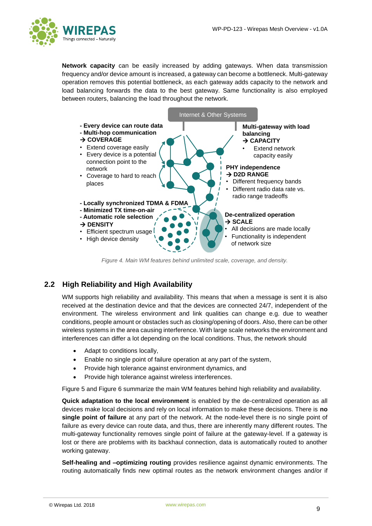

**Network capacity** can be easily increased by adding gateways. When data transmission frequency and/or device amount is increased, a gateway can become a bottleneck. Multi-gateway operation removes this potential bottleneck, as each gateway adds capacity to the network and load balancing forwards the data to the best gateway. Same functionality is also employed between routers, balancing the load throughout the network.



*Figure 4. Main WM features behind unlimited scale, coverage, and density.*

## <span id="page-8-1"></span><span id="page-8-0"></span>**2.2 High Reliability and High Availability**

WM supports high reliability and availability. This means that when a message is sent it is also received at the destination device and that the devices are connected 24/7, independent of the environment. The wireless environment and link qualities can change e.g. due to weather conditions, people amount or obstacles such as closing/opening of doors. Also, there can be other wireless systems in the area causing interference. With large scale networks the environment and interferences can differ a lot depending on the local conditions. Thus, the network should

- Adapt to conditions locally,
- Enable no single point of failure operation at any part of the system,
- Provide high tolerance against environment dynamics, and
- Provide high tolerance against wireless interferences.

[Figure 5](#page-9-0) and [Figure 6](#page-9-1) summarize the main WM features behind high reliability and availability.

**Quick adaptation to the local environment** is enabled by the de-centralized operation as all devices make local decisions and rely on local information to make these decisions. There is **no single point of failure** at any part of the network. At the node-level there is no single point of failure as every device can route data, and thus, there are inherently many different routes. The multi-gateway functionality removes single point of failure at the gateway-level. If a gateway is lost or there are problems with its backhaul connection, data is automatically routed to another working gateway.

**Self-healing and –optimizing routing** provides resilience against dynamic environments. The routing automatically finds new optimal routes as the network environment changes and/or if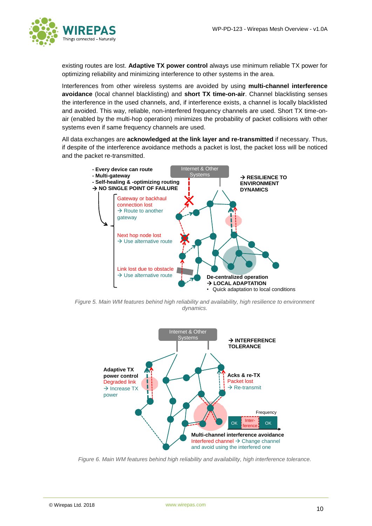

existing routes are lost. **Adaptive TX power control** always use minimum reliable TX power for optimizing reliability and minimizing interference to other systems in the area.

Interferences from other wireless systems are avoided by using **multi-channel interference avoidance** (local channel blacklisting) and **short TX time-on-air**. Channel blacklisting senses the interference in the used channels, and, if interference exists, a channel is locally blacklisted and avoided. This way, reliable, non-interfered frequency channels are used. Short TX time-onair (enabled by the multi-hop operation) minimizes the probability of packet collisions with other systems even if same frequency channels are used.

All data exchanges are **acknowledged at the link layer and re-transmitted** if necessary. Thus, if despite of the interference avoidance methods a packet is lost, the packet loss will be noticed and the packet re-transmitted.



<span id="page-9-0"></span>*Figure 5. Main WM features behind high reliability and availability, high resilience to environment dynamics.*



<span id="page-9-1"></span>*Figure 6. Main WM features behind high reliability and availability, high interference tolerance.*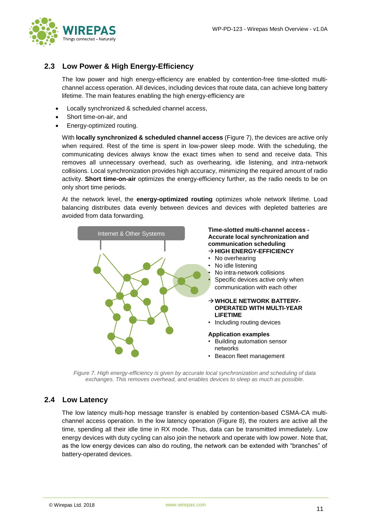

### <span id="page-10-0"></span>**2.3 Low Power & High Energy-Efficiency**

The low power and high energy-efficiency are enabled by contention-free time-slotted multichannel access operation. All devices, including devices that route data, can achieve long battery lifetime. The main features enabling the high energy-efficiency are

- Locally synchronized & scheduled channel access,
- Short time-on-air, and
- Energy-optimized routing.

With **locally synchronized & scheduled channel access** [\(Figure 7\)](#page-10-2), the devices are active only when required. Rest of the time is spent in low-power sleep mode. With the scheduling, the communicating devices always know the exact times when to send and receive data. This removes all unnecessary overhead, such as overhearing, idle listening, and intra-network collisions. Local synchronization provides high accuracy, minimizing the required amount of radio activity. **Short time-on-air** optimizes the energy-efficiency further, as the radio needs to be on only short time periods.

At the network level, the **energy-optimized routing** optimizes whole network lifetime. Load balancing distributes data evenly between devices and devices with depleted batteries are avoided from data forwarding.



*Figure 7. High energy-efficiency is given by accurate local synchronization and scheduling of data exchanges. This removes overhead, and enables devices to sleep as much as possible.*

#### <span id="page-10-2"></span><span id="page-10-1"></span>**2.4 Low Latency**

The low latency multi-hop message transfer is enabled by contention-based CSMA-CA multichannel access operation. In the low latency operation [\(Figure 8\)](#page-11-1), the routers are active all the time, spending all their idle time in RX mode. Thus, data can be transmitted immediately. Low energy devices with duty cycling can also join the network and operate with low power. Note that, as the low energy devices can also do routing, the network can be extended with "branches" of battery-operated devices.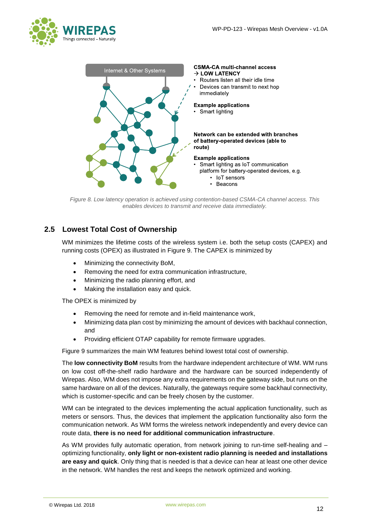



<span id="page-11-1"></span>*Figure 8. Low latency operation is achieved using contention-based CSMA-CA channel access. This enables devices to transmit and receive data immediately.*

## <span id="page-11-0"></span>**2.5 Lowest Total Cost of Ownership**

WM minimizes the lifetime costs of the wireless system i.e. both the setup costs (CAPEX) and running costs (OPEX) as illustrated in [Figure 9.](#page-12-1) The CAPEX is minimized by

- Minimizing the connectivity BoM,
- Removing the need for extra communication infrastructure,
- Minimizing the radio planning effort, and
- Making the installation easy and quick.

The OPEX is minimized by

- Removing the need for remote and in-field maintenance work,
- Minimizing data plan cost by minimizing the amount of devices with backhaul connection, and
- Providing efficient OTAP capability for remote firmware upgrades.

[Figure 9](#page-12-1) summarizes the main WM features behind lowest total cost of ownership.

The **low connectivity BoM** results from the hardware independent architecture of WM. WM runs on low cost off-the-shelf radio hardware and the hardware can be sourced independently of Wirepas. Also, WM does not impose any extra requirements on the gateway side, but runs on the same hardware on all of the devices. Naturally, the gateways require some backhaul connectivity, which is customer-specific and can be freely chosen by the customer.

WM can be integrated to the devices implementing the actual application functionality, such as meters or sensors. Thus, the devices that implement the application functionality also form the communication network. As WM forms the wireless network independently and every device can route data, **there is no need for additional communication infrastructure**.

As WM provides fully automatic operation, from network joining to run-time self-healing and – optimizing functionality, **only light or non-existent radio planning is needed and installations are easy and quick**. Only thing that is needed is that a device can hear at least one other device in the network. WM handles the rest and keeps the network optimized and working.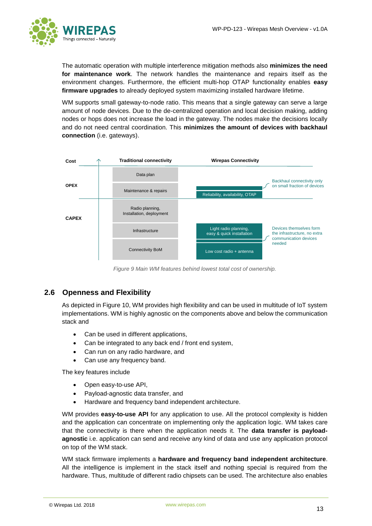

The automatic operation with multiple interference mitigation methods also **minimizes the need for maintenance work**. The network handles the maintenance and repairs itself as the environment changes. Furthermore, the efficient multi-hop OTAP functionality enables **easy firmware upgrades** to already deployed system maximizing installed hardware lifetime.

WM supports small gateway-to-node ratio. This means that a single gateway can serve a large amount of node devices. Due to the de-centralized operation and local decision making, adding nodes or hops does not increase the load in the gateway. The nodes make the decisions locally and do not need central coordination. This **minimizes the amount of devices with backhaul connection** (i.e. gateways).



*Figure 9 Main WM features behind lowest total cost of ownership.*

## <span id="page-12-1"></span><span id="page-12-0"></span>**2.6 Openness and Flexibility**

As depicted in [Figure 10,](#page-13-0) WM provides high flexibility and can be used in multitude of IoT system implementations. WM is highly agnostic on the components above and below the communication stack and

- Can be used in different applications.
- Can be integrated to any back end / front end system,
- Can run on any radio hardware, and
- Can use any frequency band.

The key features include

- Open easy-to-use API,
- Payload-agnostic data transfer, and
- Hardware and frequency band independent architecture.

WM provides **easy-to-use API** for any application to use. All the protocol complexity is hidden and the application can concentrate on implementing only the application logic. WM takes care that the connectivity is there when the application needs it. The **data transfer is payloadagnostic** i.e. application can send and receive any kind of data and use any application protocol on top of the WM stack.

WM stack firmware implements a **hardware and frequency band independent architecture**. All the intelligence is implement in the stack itself and nothing special is required from the hardware. Thus, multitude of different radio chipsets can be used. The architecture also enables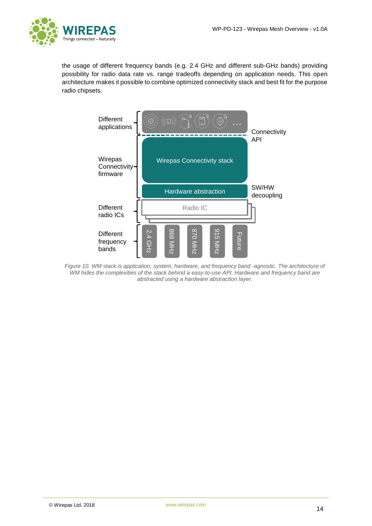

the usage of different frequency bands (e.g. 2.4 GHz and different sub-GHz bands) providing possibility for radio data rate vs. range tradeoffs depending on application needs. This open architecture makes it possible to combine optimized connectivity stack and best fit for the purpose radio chipsets.



<span id="page-13-0"></span>*Figure 10. WM stack is application, system, hardware, and frequency band -agnostic. The architecture of WM hides the complexities of the stack behind a easy-to-use API. Hardware and frequency band are abstracted using a hardware abstraction layer.*